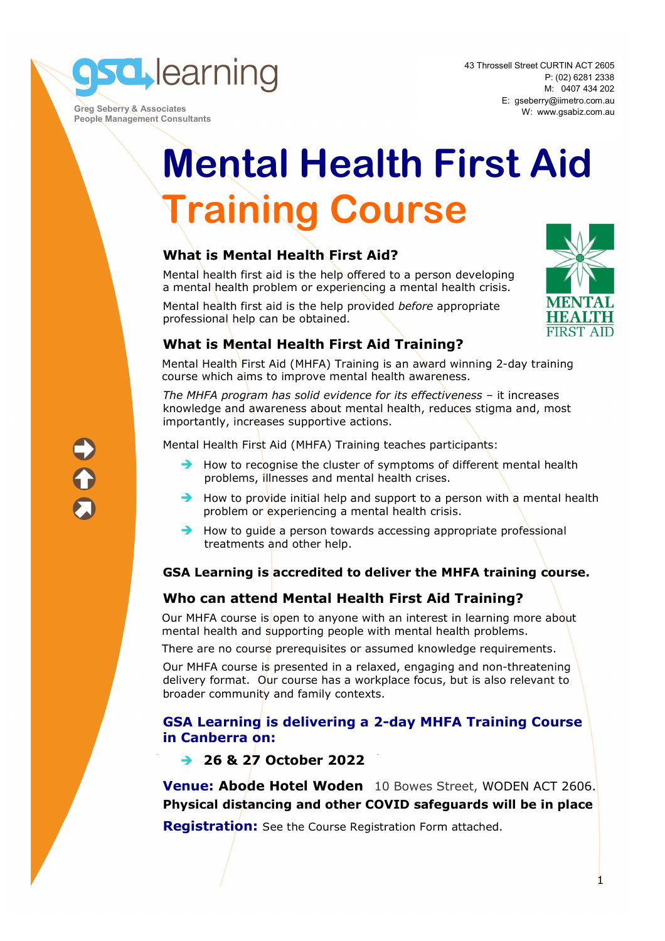**sd** learning

 **Greg Seberry & Associates People Management Consultants**  43 Throssell Street CURTIN ACT 2605 P: (02) 6281 2338 M: 0407 434 202 E: gseberry@iimetro.com.au W: www.gsabiz.com.au

# **Mental Health First Aid Training Course**

## **What is Mental Health First Aid?**

Mental health first aid is the help offered to a person developing a mental health problem or experiencing a mental health crisis.

Mental health first aid is the help provided *before* appropriate professional help can be obtained.



## **What is Mental Health First Aid Training?**

Mental Health First Aid (MHFA) Training is an award winning 2-day training course which aims to improve mental health awareness.

*The MHFA program has solid evidence for its effectiveness* – it increases knowledge and awareness about mental health, reduces stigma and, most importantly, increases supportive actions.

Mental Health First Aid (MHFA) Training teaches participants:

- $\rightarrow$  How to recognise the cluster of symptoms of different mental health problems, illnesses and mental health crises.
- $\rightarrow$  How to provide initial help and support to a person with a mental health problem or experiencing a mental health crisis.
- $\rightarrow$  How to quide a person towards accessing appropriate professional treatments and other help.

## **GSA Learning is accredited to deliver the MHFA training course.**

## **Who can attend Mental Health First Aid Training?**

Our MHFA course is open to anyone with an interest in learning more about mental health and supporting people with mental health problems.

There are no course prerequisites or assumed knowledge requirements.

Our MHFA course is presented in a relaxed, engaging and non-threatening delivery format. Our course has a workplace focus, but is also relevant to broader community and family contexts.

## **GSA Learning is delivering a 2-day MHFA Training Course in Canberra on:**

**26 & 27 October 2022** 

**Venue: Abode Hotel Woden** 10 Bowes Street, WODEN ACT 2606. **Physical distancing and other COVID safeguards will be in place** 

**Registration:** See the Course Registration Form attached.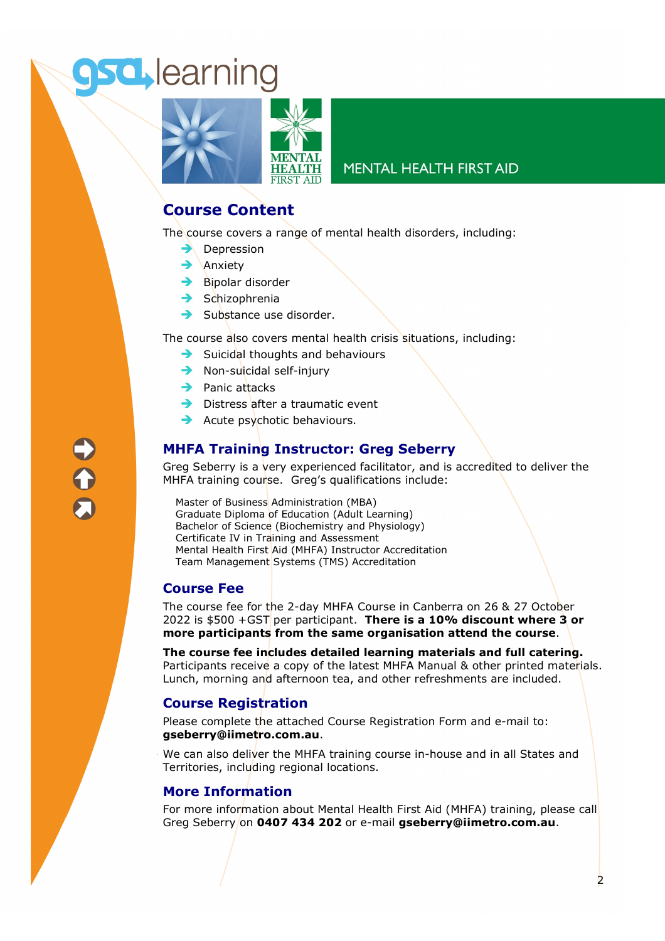## **sd** learning



### **MENTAL HEALTH FIRST AID**

## **Course Content**

The course covers a range of mental health disorders, including:

- $\rightarrow$  Depression
- $\rightarrow$  Anxiety
- $\rightarrow$  Bipolar disorder
- $\rightarrow$  Schizophrenia
- $\rightarrow$  Substance use disorder.

The course also covers mental health crisis situations, including:

- $\rightarrow$  Suicidal thoughts and behaviours
- $\rightarrow$  Non-suicidal self-injury
- $\rightarrow$  Panic attacks
- $\rightarrow$  Distress after a traumatic event
- $\rightarrow$  Acute psychotic behaviours.

## **MHFA Training Instructor: Greg Seberry**

Greg Seberry is a very experienced facilitator, and is accredited to deliver the MHFA training course. Greg's qualifications include:

Master of Business Administration (MBA) Graduate Diploma of Education (Adult Learning) Bachelor of Science (Biochemistry and Physiology) Certificate IV in Training and Assessment Mental Health First Aid (MHFA) Instructor Accreditation Team Management Systems (TMS) Accreditation

### **Course Fee**

The course fee for the 2-day MHFA Course in Canberra on 26 & 27 October 2022 is \$500 +GST per participant. **There is a 10% discount where 3 or more participants from the same organisation attend the course**.

**The course fee includes detailed learning materials and full catering.**  Participants receive a copy of the latest MHFA Manual & other printed materials. Lunch, morning and afternoon tea, and other refreshments are included.

### **Course Registration**

Please complete the attached Course Registration Form and e-mail to: **gseberry@iimetro.com.au**.

We can also deliver the MHFA training course in-house and in all States and Territories, including regional locations.

### **More Information**

For more information about Mental Health First Aid (MHFA) training, please call Greg Seberry on **0407 434 202** or e-mail **gseberry@iimetro.com.au**.